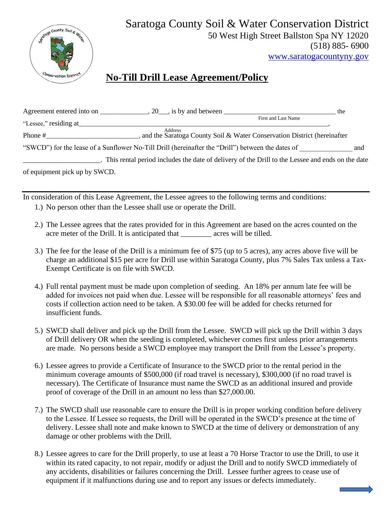

## Saratoga County Soil & Water Conservation District 50 West High Street Ballston Spa NY 12020 (518) 885- 6900

[www.saratogacountyny.gov](http://www.saratogacountyny.gov/)

## **No-Till Drill Lease Agreement/Policy**

|                               | Agreement entered into on $\qquad \qquad .20$ , is by and between                                  | the                 |
|-------------------------------|----------------------------------------------------------------------------------------------------|---------------------|
| "Lessee," residing at         |                                                                                                    | First and Last Name |
| Phone #                       | Address<br>and the Saratoga County Soil & Water Conservation District (hereinafter                 |                     |
|                               | "SWCD") for the lease of a Sunflower No-Till Drill (hereinafter the "Drill") between the dates of  | and                 |
|                               | . This rental period includes the date of delivery of the Drill to the Lessee and ends on the date |                     |
| of equipment pick up by SWCD. |                                                                                                    |                     |

In consideration of this Lease Agreement, the Lessee agrees to the following terms and conditions:

- 1.) No person other than the Lessee shall use or operate the Drill.
- 2.) The Lessee agrees that the rates provided for in this Agreement are based on the acres counted on the acre meter of the Drill. It is anticipated that \_\_\_\_\_\_\_\_\_ acres will be tilled.
- 3.) The fee for the lease of the Drill is a minimum fee of \$75 (up to 5 acres), any acres above five will be charge an additional \$15 per acre for Drill use within Saratoga County, plus 7% Sales Tax unless a Tax-Exempt Certificate is on file with SWCD.
- 4.) Full rental payment must be made upon completion of seeding. An 18% per annum late fee will be added for invoices not paid when due. Lessee will be responsible for all reasonable attorneys' fees and costs if collection action need to be taken. A \$30.00 fee will be added for checks returned for insufficient funds.
- 5.) SWCD shall deliver and pick up the Drill from the Lessee. SWCD will pick up the Drill within 3 days of Drill delivery OR when the seeding is completed, whichever comes first unless prior arrangements are made. No persons beside a SWCD employee may transport the Drill from the Lessee's property.
- 6.) Lessee agrees to provide a Certificate of Insurance to the SWCD prior to the rental period in the minimum coverage amounts of \$500,000 (if road travel is necessary), \$300,000 (if no road travel is necessary). The Certificate of Insurance must name the SWCD as an additional insured and provide proof of coverage of the Drill in an amount no less than \$27,000.00.
- 7.) The SWCD shall use reasonable care to ensure the Drill is in proper working condition before delivery to the Lessee. If Lessee so requests, the Drill will be operated in the SWCD's presence at the time of delivery. Lessee shall note and make known to SWCD at the time of delivery or demonstration of any damage or other problems with the Drill.
- 8.) Lessee agrees to care for the Drill properly, to use at least a 70 Horse Tractor to use the Drill, to use it within its rated capacity, to not repair, modify or adjust the Drill and to notify SWCD immediately of any accidents, disabilities or failures concerning the Drill. Lessee further agrees to cease use of equipment if it malfunctions during use and to report any issues or defects immediately.